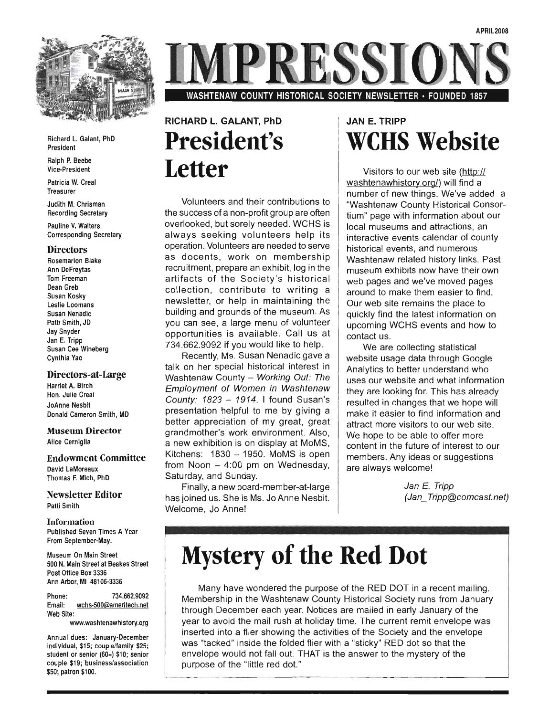

# **RESSIO**

WASHTENAW COUNTY HISTORICAL SOCIETY NEWSLETTER · FOUNDED 1857

#### Richard L. Galant, PhD Ralph P. Beebe

Ralph P. Beebe Vice-President

Patricia W. Creal Judith M. Christman M. Christman M. Christman M. Christman M. Christman M. Christman M. Christman M. Christman <br>M. Christman M. Christman M. Christman M. Christman M. Christman M. Christman M. Christman M. Christman M. Chr

Judith M. Chrisman Recording Secretary

Pauline V. Walters **Corresponding Secretary** 

#### **Directors**

**Rosemarion Blake Ann DeFreytas** Tom Freeman Dean Greb Susan Koskv Leslie Loomans Susan Nenadic Patti Smith, JD Jay Snyder Jan E. Tripp Susan Cee Wineberg

#### Directors-at-Large Directors-at-Large

Harriet A. Birch Hon. Julie Creal JoAnne Nesbit<br>Donald Cameron Smith, MD

### Museum Director **Museum Director**<br>Alice Cerniglia

Endowment Committee **Endowment Committee** David LaMoreaux<br>Thomas F. Mich, PhD

### Newsletter Editor wsietter

**Information** Published Seven Times A Year From September-May.

Museum On Main Street 500 N. Main Street at Beakes Street Post Office Box 3336 Ann Arbor, MI 48106-3336

Phone: 734.662.9092 Email: wchs-500@ameritech.net Web Site:

www.washtenawhistory.org

Annual dues: January-December individual, \$15; couple/family \$25; student or senior (60+) \$10; senior couple \$19; business/association \$50; patron \$100.

### RICHARD L. GALANT, PhD **President's Letter**

Volunteers and their contributions to Volunteers and their contributions to  $\parallel$ the success of a non-profit group are often overlooked, but sorely needed. WCHS is always seeking volunteers help its operation. Volunteers are needed to serve as docents, work on membership recruitment, prepare an exhibit, log in the artifacts of the Society's historical collection, contribute to writing a newsletter, or help in maintaining the building and grounds of the museum. As you can see, a large menu of volunteer opportunities is available. Call us at 734.662.9092 if you would like to help.

Recently, Ms. Susan Nenadic gave a talk on her special historical interest in Washtenaw County - Working Out: The Employment of Women in Washtenaw County:  $1823 - 1914$ . I found Susan's presentation helpful to me by giving a better appreciation of my great, great grand mother's work environment. Also, a new exhibition is on display at MoMS. Kitchens:  $1830 - 1950$ . MoMS is open from Noon  $-$  4:00 pm on Wednesday. Saturday, and Sunday.

Finally, a new board-member-at-large has joined us. She is Ms. Jo Anne Nesbit. Welcome, Jo Anne!

### JAN E. TRIPP **WCHS** Website

Visitors to our web site (http:// washtenawhistory.org/) will find a number of new things. We've added a "Washtenaw County Historical Consortium" page with information about our local museums and attractions, an interactive events calendar of county historical events, and numerous Washtenaw related history links. Past museum exhibits now have their own web pages and we've moved pages around to make them easier to find. Our web site remains the place to quickly find the latest information on upcoming WCHS events and how to<br>contact us.  $\mathfrak{t}$  us.

We are collecting statistical website usage data through Google Analytics to better understand who uses our website and what information they are looking for. This has already resulted in changes that we hope will make it easier to find information and attract more visitors to our web site. We hope to be able to offer more content in the future of interest to our members. Any ideas or suggestions<br>are always welcome!

Jan E. Tripp<br>(Jan\_ Tripp@comcast.net)

# **Mystery of the Red Dot**

Many have wondered the purpose of the RED DOT in a recent mailing. Membership in the Washtenaw County Historical Society runs from January through December each year. Notices are mailed in early January of the vear to avoid the mail rush at holiday time. The current remit envelope was inserted into a flier showing the activities of the Society and the envelope was "tacked" inside the folded flier with a "sticky" RED dot so that the envelope would not fall out. THAT is the answer to the mystery of the purpose of the "little red dot."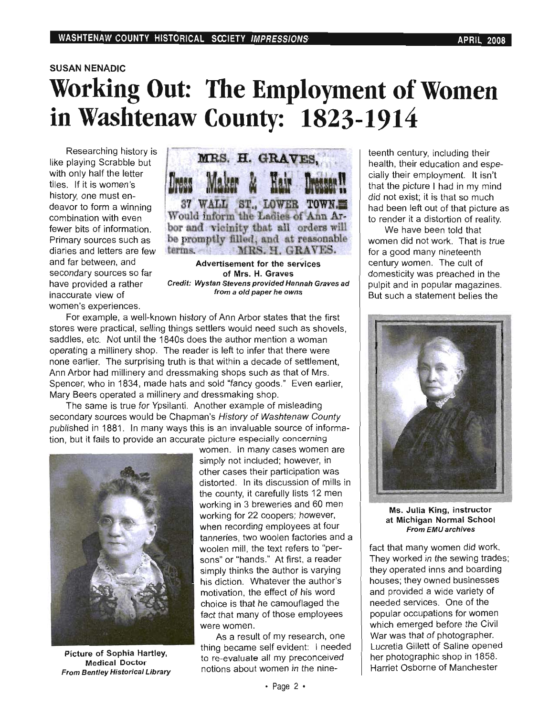# SAN NENADIC<br>Apaling Out: The Employment of Wamen **in Washtenaw County: 1823-1914**

Researching history is like plaving Scrabble but with only half the letter tiles. If it is women's deavor to form a winning combination with even diaries and letters are few and far between, and secondary sources so far have provided a rather inaccurate view of women's experiences.



of Mrs. H. Graves  $\frac{1}{2}$  Credit: We can be provided Hannah Graves and Hannah Graves and Hannah Graves and Hannah Graves and Hannah Graves and Hannah Graves and Hannah Graves and Hannah Graves and Hannah Graves and Hannah Graves and Hann of Mrs. H. Graves<br>Credit: Wystan Stevens provided Hannah Graves ad from a old paper he owns

For example, a well-known history of Ann Arbor states that the first stores were practical, selling things settlers would need such as shovels. saddles, etc. Not until the 1840s does the author mention a woman operating a millinery shop. The reader is left to infer that there were hone earlier. The surprising truth is that within a decade of settlement, Ann Arbor had millinery and dressmaking shops such as that of Mrs. Spencer, who in 1834, made hats and sold "fancy goods." Even earlier, Mary Beers operated a millinery and dressmaking shop.

The same is true for Ypsilanti. Another example of misleading secondary sources would be Chapman's History of Washtenaw County published in 1881. In many ways this is an invaluable source of information, but it fails to provide an accurate picture especially concerning



Medical Doctor are or sophia Hartley, **From Bentley Historical Library** 

women. In many cases women are simply not included: however, in other cases their participation was distorted. In its discussion of mills in the county, it carefully lists 12 men working in 3 breweries and 60 men working for 22 coopers; however, when recording employees at four tanneries, two woolen factories and a woolen mill, the text refers to "persons" or "hands." At first, a reader simply thinks the author is varying his diction. Whatever the author's motivation, the effect of his word choice is that he camouflaged the we was no o<br>that many of t  $\frac{1}{2}$  results of more employees  $\frac{1}{2}$ were women.<br>As a result of my research, one

thing became self evident: I needed to re-evaluate all my preconceived notions about women in the nineteenth century, including their health, their education and especially their employment. It isn't that the picture I had in my mind did not exist; it is that so much had been left out of that picture as to render it a distortion of reality.

We have been told that women did not work. That is true for a good many nineteenth century women. The cult of domesticity was preached in the pulpit and in popular magazines. But such a statement belies the



King, Instructor **From EMU archives** 

fact that many women did work. They worked in the sewing trades; they operated inns and boarding houses; they owned businesses and provided a wide variety of needed services. One of the popular occupations for women which emerged before the Civil War was that of photographer. Lucretia Gillett of Saline opened her photographic shop in 1858. Harriet Osborne of Manchester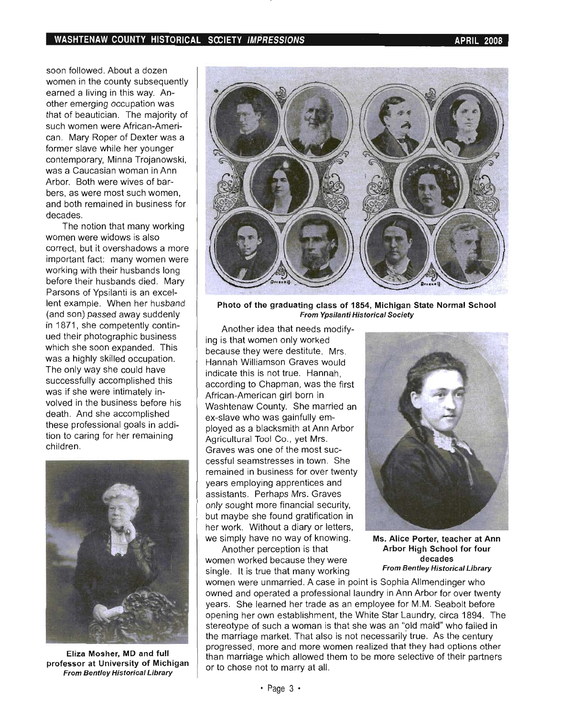soon followed. About a dozen women in the county subsequently earned a living in this way. Another emerging occupation was that of beautician. The majority of such women were African-American. Mary Roper of Dexter was a former slave while her younger contemporary, Minna Trojanowski, was a Caucasian woman in Ann Arbor. Both were wives of barbers, as were most such women, and both remained in business for decades.

The notion that many working women were widows is also correct, but it overshadows a more important fact: many women were working with their husbands long before their husbands died. Mary Parsons of Ypsilanti is an excellent example. When her husband (and son) passed away suddenly in 1871, she competently continued their photographic business which she soon expanded. This was a highly skilled occupation. The only way she could have successfully accomplished this was if she were intimately involved in the business before his death. And she accomplished these professional goals in addition to caring for her remaining children.



Eliza Mosher, MD and full professor at University of Michigan From Bentley Historical Library



Photo of the graduating class of 1854, Michigan State Normal School From Ypsilanti Historical Society

Another idea that needs modifying is that women only worked because they were destitute. Mrs. Hannah Williamson Graves would indicate this is not true. Hannah, according to Chapman, was the first African-American girl born in Washtenaw County. She married an ex-slave who was gainfully employed as a blacksmith at Ann Arbor Agricultural Tool Co., yet Mrs. Graves was one of the most successful seamstresses in town. She remained in business for over twenty years employing apprentices and assistants. Perhaps Mrs. Graves only sought more financial security, but maybe she found gratification in her work. Without a diary or letters, we simply have no way of knowing.

Another perception is that women worked because they were single. It is true that many working



Ms. Alice Porter, teacher at Ann Arbor High School for four decades From Bentley Historical Library

women were unmarried. A case in point is Sophia Allmendinger who owned and operated a professional laundry in Ann Arbor for over twenty years. She learned her trade as an employee for M.M. Seabolt before opening her own establishment, the White Star Laundry, circa 1894. The stereotype of such a woman is that she was an "old maid" who failed in the marriage market. That also is not necessarily true. As the century progressed, more and more women realized that they had options other than marriage which allowed them to be more selective of their partners or to chose not to marry at all.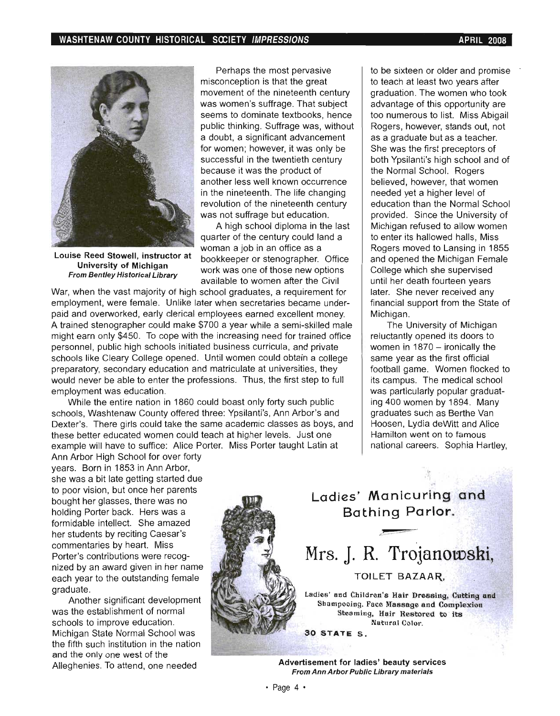

Louise Reed Stowell, instructor at University of Michigan From Bentley Historical Library

Perhaps the most pervasive misconception is that the great movement of the nineteenth century was women's suffrage. That subject seems to dominate textbooks, hence public thinking. Suffrage was, without a doubt, a significant advancement for women; however, it was only be successful in the twentieth century because it was the product of another less well known occurrence in the nineteenth. The life changing revolution of the nineteenth century was not suffrage but education.

A high school diploma in the last quarter of the century could land a woman a job in an office as a bookkeeper or stenographer. Office work was one of those new options available to women after the Civil

War, when the vast majority of high school graduates, a requirement for employment, were female. Unlike later when secretaries became underpaid and overworked, early clerical employees earned excellent money. A trained stenographer could make \$700 a year while a semi-skilled male might earn only \$450. To cope with the increasing need for trained office personnel, public high schools initiated business curricula, and private schools like Cleary College opened. Until women could obtain a college preparatory, secondary education and matriculate at universities, they would never be able to enter the professions. Thus, the first step to full employment was education.

While the entire nation in 1860 could boast only forty such public schools, Washtenaw County offered three: Ypsilanti's, Ann Arbor's and Dexter's. There girls could take the same academic classes as boys, and these better educated women could teach at higher levels. Just one example will have to suffice: Alice Porter. Miss Porter taught Latin at

to be sixteen or older and promise to teach at least two years after graduation. The women who took advantage of this opportunity are too numerous to list. Miss Abigail Rogers, however, stands out, not as a graduate but as a teacher. She was the first preceptors of both Ypsilanti's high school and of the Normal School. Rogers believed, however, that women needed yet a higher level of education than the Normal School provided. Since the University of Michigan refused to allow women to enter its hallowed halls, Miss Rogers moved to Lansing in 1855 and opened the Michigan Female College which she supervised until her death fourteen years later. She never received any financial support from the State of Michigan.

The University of Michigan reluctantly opened its doors to women in  $1870 -$  ironically the same year as the first official football game. Women flocked to its campus. The medical school was particularly popular graduating 400 women by 1894. Many graduates such as Berthe Van Hoosen, Lydia deWitt and Alice Hamilton went on to famous national careers. Sophia Hartley,

Ann Arbor High School for over forty years. Born in 1853 in Ann Arbor, she was a bit late getting started due to poor vision, but once her parents bought her glasses, there was no holding Porter back. Hers was a formidable intellect. She amazed her students by reciting Caesar's commentaries by heart. Miss Porter's contributions were recognized by an award given in her name each year to the outstanding female graduate.

Another significant development was the establishment of normal schools to improve education. Michigan State Normal School was the fifth such institution in the nation and the only one west of the Alleghenies. To attend, one needed

### Ladies' Manicuring and Bathing Par1or.

### Mrs. J. R. Trojanowski,

#### TOILET BAZAAR.

Ladies' and Children's Hair Dressing. Cutting and Shampooing. Face Massage and Complexion Steaming, Hair Restored to its Natural Color. 30 STATE S .

Advertisement for ladies' beauty services From Ann Arbor Public Library materials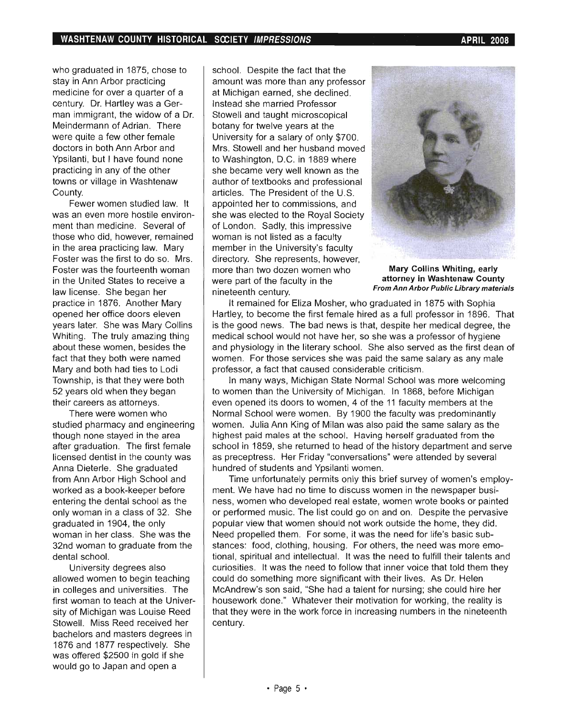who graduated in 1875, chose to stay in Ann Arbor practicing medicine for over a quarter of a century. Dr. Hartley was a German immigrant, the widow of a Dr. Meindermann of Adrian. There were quite a few other female doctors in both Ann Arbor and Ypsilanti, but I have found none practicing in any of the other towns or village in Washtenaw County.

Fewer women studied law. It was an even more hostile environment than medicine. Several of those who did, however, remained in the area practicing law. Mary Foster was the first to do so. Mrs. Foster was the fourteenth woman in the United States to receive a law license. She began her practice in 1876. Another Mary opened her office doors eleven years later. She was Mary Collins Whiting. The truly amazing thing about these women, besides the fact that they both were named Mary and both had ties to Lodi Township, is that they were both 52 years old when they began their careers as attorneys.

There were women who studied pharmacy and engineering though none stayed in the area after graduation. The first female licensed dentist in the county was Anna Dieterle. She graduated from Ann Arbor High School and worked as a book-keeper before entering the dental school as the only woman in a class of 32. She graduated in 1904, the only woman in her class. She was the 32nd woman to graduate from the dental school.

University degrees also allowed women to begin teaching in colleges and universities. The first woman to teach at the University of Michigan was Louise Reed Stowell. Miss Reed received her bachelors and masters degrees in 1876 and 1877 respectively. She was offered \$2500 in gold if she would go to Japan and open a

school. Despite the fact that the amount was more than any professor at Michigan earned, she declined. Instead she married Professor Stowell and taught microscopical botany for twelve years at the University for a salary of only \$700. Mrs. Stowell and her husband moved to Washington, D.C. in 1889 where she became very well known as the author of textbooks and professional articles. The President of the U.S. appointed her to commissions, and she was elected to the Royal Society of London. Sadly, this impressive woman is not listed as a faculty member in the University's faculty directory. She represents, however, more than two dozen women who were part of the faculty in the nineteenth century.



Mary Collins Whiting, early attorney in Washtenaw County From Ann Arbor Public Library materials

It remained for Eliza Mosher, who graduated in 1875 with Sophia Hartley, to become the first female hired as a full professor in 1896. That is the good news. The bad news is that, despite her medical degree, the medical school would not have her, so she was a professor of hygiene and physiology in the literary school. She also served as the first dean of women. For those services she was paid the same salary as any male professor, a fact that caused considerable criticism.

In many ways, Michigan State Normal School was more welcoming to women than the University of Michigan. In 1868, before Michigan even opened its doors to women, 4 of the 11 faculty members at the Normal School were women. By 1900 the faculty was predominantly women. Julia Ann King of Milan was also paid the same salary as the highest paid males at the school. Having herself graduated from the school in 1859, she returned to head of the history department and serve as preceptress. Her Friday "conversations" were attended by several hundred of students and Ypsilanti women.

Time unfortunately permits only this brief survey of women's employment. We have had no time to discuss women in the newspaper business, women who developed real estate, women wrote books or painted or performed music. The list could go on and on. Despite the pervasive popular view that women should not work outside the home, they did. Need propelled them. For some, it was the need for life's basic substances: food, clothing, housing. For others, the need was more emotional, spiritual and intellectual. It was the need to fulfill their talents and curiosities. It was the need to follow that inner voice that told them they could do something more significant with their lives. As Dr. Helen McAndrew's son said, "She had a talent for nursing; she could hire her housework done." Whatever their motivation for working, the reality is that they were in the work force in increasing numbers in the nineteenth century.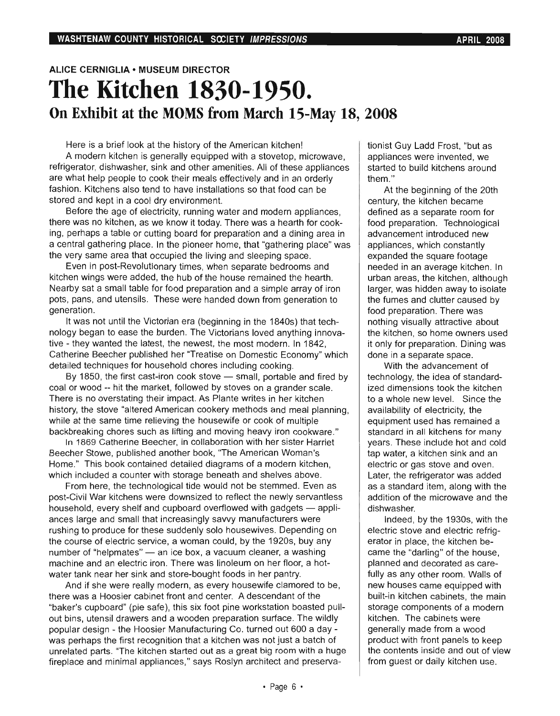### **ALICE CERNIGLIA • MUSEUM DIRECTOR The Kitchen 1830-1950. On Exhibit at the MOMS from March I5-May 18, 2008**

Here is a brief look at the history of the American kitchen!

A modern kitchen is generally equipped with a stovetop, microwave, refrigerator, dishwasher, sink and other amenities. All of these appliances myeraror, distiwasher, sink and other amenites. An or these appliance fashion. Kitchens also tend to have installations so that food can be fashion. Kitchens also tend to have installations so that food can be stored and kept in a cool dry environment. and repulsi a coor dry environment.<br>Coordinates, running water and modern applications was applicated water and modern applications was applicated

there was no kitchen, as we know it to do not contain the was a hearth for containing water and modern applicances, ere was no kitchen, as we know it today. There was a nearth for cook $g$ , perhaps a lable of cutting board for preparation and a diffinity area in  $\vert$ a central gathering place. In the pioneer home, that "gathering place" was the very same area that occupied the living and sleeping space.  $\mu$  is positive and  $\mu$  in positivity and seeping space.

kitchen winds were added to the hub of the house remained the house remained the house remaining the house remaining the house remaining the house remaining the house remaining the house remaining the house remaining the h Nearby sat a small table for food preparation and a simple array of iron  $p$  pand a silial table for lood preparation and a simple array of from  $q$ pots, pans, and utensils. These were handed down from generation to generation.

It was not until the Victorian era (beginning in the 1840s) that technology began to ease the burden. The Victorians loved anything in the description is a control of the burdent o tive began to ease the burden. The victorians loved anything innov c - they wanted the latest, the newest, the most modern. In 1942,<br>Therical Docal around the of her "Treatise on Domestic Economy" which detailed techniques for household chores including cooking.  $B = 1850$ , the first cast-iron cook stores including cooking.

come coal or wood and means the market of the market of the market of the market of the market scale. coal or wood -- hit the market, followed by stoves on a grander scale.<br>There is no overstating their impact. As Plante writes in her kitchen  $\frac{1}{10}$  is the overstating their impact. As manie which in her methods  $\frac{1}{10}$ story, the stove callered American cookery methods and mear plan<br>Cooking the cooking the multiple of multiple of multiple of multiple of multiple of multiple of multiple of mu  $\frac{1}{10}$  at the same time relieving the nousewife of cook or multiple. Ieaking choies such as inuity and moving heavy non cookware.<br>There is the sister Beecher in collaboration with her sister Harrist to the sister Harrist to the sister of th

 $B = 200$  Statished beecher, in condition with her sister frame  $\frac{1}{2}$  This book contained diagrams of  $\frac{1}{2}$  modern kitchen,  $\frac{1}{2}$  modern kitchen,  $\frac{1}{2}$ Home." This book contained detailed diagrams of a modern kitchen,<br>which included a counter with storage beneath and shelves above.

From here, the technological tide would not be stemmed. Even as post-Civil War kitchens were downsized to reflect the newly servantless household, every shelf and cupboard overflowed with gadgets - appliances large and small that is compound that increase were gauge is weakening were were saw to a three contractors were were a share were a share were a share were a share were a share were a share were a share were a share ances large and small that increasingly savvy manufacturers were rushing to produce for these suddenly solo housewives. Depending on the course of electric service, a woman could, by the 1920s, buy any number of "helpmates" — an ice box, a vacuum cleaner, a washing<br>machine and an electric iron. There was linoleum on her floor, a hotachine and an electric from there was inforculated from the pool, a  $\frac{1}{2}$  and  $\frac{1}{2}$  she wife shows the very house in the painty.

And if she were really modern, as every housewife clamored to be, there was a Hoosier cabinet front and center. A descendant of the ble was a moster capillet front and center. A descendant of the stational pulland biothous and  $\mu$  and  $\mu$  and  $\mu$  and  $\mu$  works and  $\mu$  works are  $\mu$  $\mu$  phis, uteristic diawers and a wooden preparation surface. The wholy ppular design - the floosier ivianuiactum ig Co. turned out over a day was perhaps the first recognition that a kitchen was not just a batch of unrelated parts. "The kitchen started out as a great big room with a huge<br>fireplace and minimal appliances," says Roslyn architect and preservationist Guy Ladd Frost, "but as appliances were invented, we  $\epsilon$  is the total to build kitchens around the  $\epsilon$ aneu k

 $\frac{1}{2}$  the beginning of the 20th At the beginning of the zot century, the kitchen became<br>defined as a separate room for food preparation. Technological ou preparation. Technological avancement introduced new appliances, which constantly<br>expanded the square footage needed in an average kitchen. In urban areas, the kitchen, although pan areas, the Kitchen, although tyer, was muuen away to isolate the fumes and clutter caused by<br>food preparation. There was nothing visually attractive about the kitchen, so home owners used  $\epsilon$  Kitchen, so nome owners used only for preparation. Diffing done in a separate space.<br>With the advancement of

technology, the idea of standardized dimensions took the kitchen to a which signs to be whole the since the since the since the since the since the since the since the since the since the since the since the since the since the since the since the since the since the since the since the a writte new level. Since the availability of electricity, the<br>equipment used has remained a fuipment used has remained a andard in all Kitchens for many  $\tan s$ . These include not and cold p water, a Kitchen sink and an electric or gas stove and oven.<br>Later, the refrigerator was added aer, the remgerator was added a standard item, along with the microwave and the microwave and the microwave and the microwave and the microwave and the microwave and the microwave and the microwave and the microwave and the microwave and the microwave addition of the microwave and the<br>dishwasher.

Indeed, by the 1930s, with the mueed, by the 1950s, with the electric stove and electric refrig-<br>erator in place, the kitchen beator in place, the Kitchen beplanned and decorated as careanned and decorated as care-<br>" ny as any other room. Walls or new houses came equipped with<br>built-in kitchen cabinets, the main  $\frac{1}{2}$  storage components, the modern wage components or a mou  $\frac{1}{2}$  contracts were  $p$  product with  $p$  is the keep  $p$  and  $p$  and  $p$  and  $p$  and  $p$  and  $p$  and  $p$  and  $p$  and  $p$  and  $p$  and  $p$  and  $p$  and  $p$  and  $p$  and  $p$  and  $p$  and  $p$  and  $p$  and  $p$  and  $p$  and  $p$  and  $p$  and  $p$  and  $p$  product with front panels to keep the contents inside and out of view<br>from guest or daily kitchen use.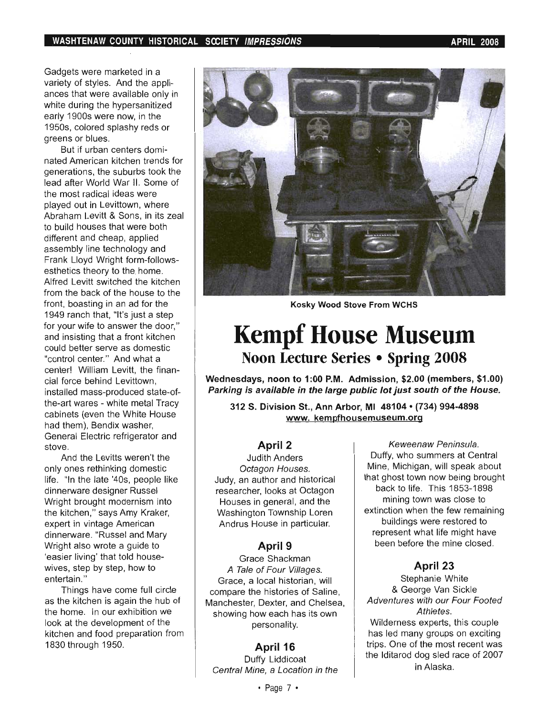adgets were marketed in a variety of styles. And the appliances that were available only in white during the hypersanitized early 1900s were now, in the 1950s, colored splashy reds or greens or blues.

But if urban centers dominated American kitchen trends for generations, the suburbs took the lead after World War II. Some of the most radical ideas were played out in Levittown, where Abraham Levitt & Sons, in its zeal to build houses that were both different and cheap, applied assembly line technology and Frank Lloyd Wright form-followsesthetics theory to the home. Alfred Levitt switched the kitchen from the back of the house to the front, boasting in an ad for the 1949 ranch that, "It's just a step for your wife to answer the door," and insisting that a front kitchen could better serve as domestic "control center." And what a center! William Levitt, the financial force behind Levittown. installed mass-produced state-ofthe-art wares - white metal Tracy cabinets (even the White House had them). Bendix washer, General Electric refrigerator and<br>stove.

And the Levitts weren't the only ones rethinking domestic life. "In the late '40s, people like dinnerware designer Russel Wright brought modernism into the kitchen," says Amy Kraker, expert in vintage American dinnerware. "Russel and Mary Wright also wrote a guide to 'easier living' that told housewives, step by step, how to<br>entertain."  $\mathsf{min}(\mathcal{C})$ 

Things have come full circle as the kitchen is again the hub of the home. In our exhibition we look at the development of the kitchen and food preparation from<br>1830 through 1950.



Kosky Wood Stove From WCHS

### **Kempf House Museum**  Noon Lecture Series • Spring 2008

Wednesdays, noon to 1 :00 P.M. Admission, \$2.00 (members, \$1.00) ednesdays, noon to 1:00 P.M. Admission, \$2.00 (members, \$1.00)  $3<sup>2</sup>$  S. Division St., Ann Arbor, Mi 48104 $\alpha$ 

**St., Ann Arbor, MI 48104 • (734)** 

#### $\mathbb{R}^2$ April 2

**Judith Anders** Octagon Houses. Judy, an author and historical researcher, looks at Octagon Houses in general, and the Washington Township Loren<br>Andrus House in particular.

### $\overline{\mathbf{a}}$ April 9

Grace Shackman A Tale of Four Villages. Grace, a local historian, will compare the histories of Saline. Manchester, Dexter, and Chelsea, showing how each has its own<br>personality.

#### $\overline{a}$ April 10

Duffy Liddicoat<br>Central Mine, a Location in the

Keweenaw Peninsula. Duffy, who summers at Central Mine, Michigan, will speak about that ghost town now being brought back to life. This 1853-1898 mining town was close to extinction when the few remaining buildings were restored to represent what life might have<br>been before the mine closed.

### $\overline{a}$ April 25

Stephanie White & George Van Sickle Adventures with our Four Footed Athletes. Wilderness experts, this couple has led many groups on exciting trips. One of the most recent was the Iditarod dog sled race of 2007<br>in Alaska.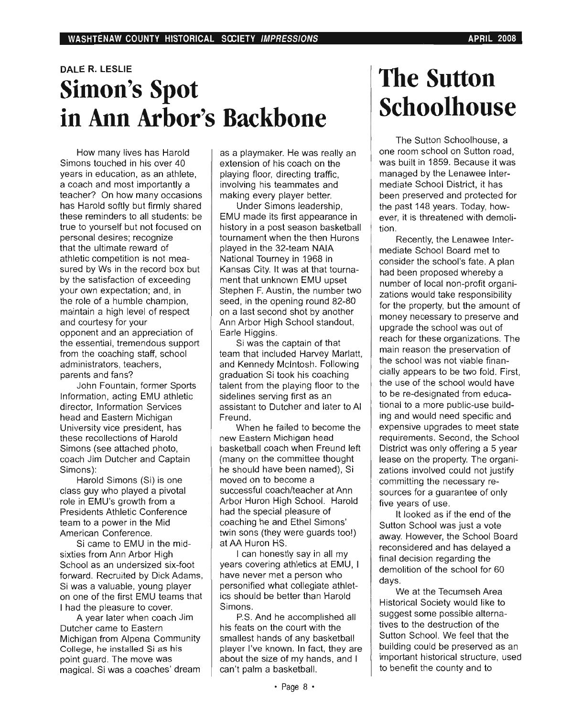### **DALE R. LESLIE Simon's Spot in Ann Arbor's Backbone**

How many lives has Harold Simons touched in his over 40 years in education, as an athlete, a coach and most importantly a teacher? On how many occasions has Harold softly but firmly shared these reminders to all students: be true to yourself but not focused on personal desires; recognize that the ultimate reward of athletic competition is not measured by Ws in the record box but by the satisfaction of exceeding your own expectation; and, in the role of a humble champion, maintain a high level of respect and courtesy for your opponent and an appreciation of the essential, tremendous support from the coaching staff, school administrators, teachers, parents and fans?

John Fountain, former Sports Information, acting EMU athletic director, Information Services head and Eastern Michigan University vice president, has these recollections of Harold Simons (see attached photo, coach Jim Dutcher and Captain Simons):

Harold Simons (Si) is one class guy who played a pivotal role in EMU's growth from a Presidents Athletic Conference team to a power in the Mid American Conference.

Si came to EMU in the midsixties from Ann Arbor High School as an undersized six-foot forward. Recruited by Dick Adams, Si was a valuable, young player on one of the first EMU teams that I had the pleasure to cover.

A year later when coach Jim Dutcher came to Eastern Michigan from Alpena Community College, he installed Si as his point guard. The move was magical. Si was a coaches' dream as a playmaker. He was really an extension of his coach on the playing floor, directing traffic, involving his teammates and making every player better.

Under Simons leadership, EMU made its first appearance in history in a post season basketball tournament when the then Hurons played in the 32-team NAIA National Tourney in 1968 in Kansas City. It was at that tournament that unknown EMU upset Stephen F. Austin, the number two seed, in the opening round 82-80 on a last second shot by another Ann Arbor High School standout, Earle Higgins.

Si was the captain of that team that included Harvey Marlatt, and Kennedy Mcintosh. Following graduation Si took his coaching talent from the playing floor to the sidelines serving first as an assistant to Dutcher and later to AI Freund.

When he failed to become the new Eastern Michigan head basketball coach when Freund left (many on the committee thought he should have been named), Si moved on to become a successful coach/teacher at Ann Arbor Huron High School. Harold had the special pleasure of coaching he and Ethel Simons' twin sons (they were guards too!) at AA Huron HS.

I can honestly say in all my years covering athletics at EMU, I have never met a person who personified what collegiate athletics should be better than Harold Simons.

P.S. And he accomplished all his feats on the court with the smallest hands of any basketball player I've known. In fact, they are about the size of my hands, and I can't palm a basketball.

# The Sutton **Schoolhouse**

The Sutton Schoolhouse, a one room school on Sutton road, was built in 1859. Because it was managed by the Lenawee Intermediate School District, it has been preserved and protected for the past 148 years. Today, however, it is threatened with demolition.

Recently, the Lenawee Intermediate School Board met to consider the school's fate. A plan had been proposed whereby a number of local non-profit organizations would take responsibility for the property, but the amount of money necessary to preserve and upgrade the school was out of reach for these organizations. The main reason the preservation of the school was not viable financially appears to be two fold. First, the use of the school would have to be re-designated from educational to a more public-use building and would need specific and expensive upgrades to meet state requirements. Second, the School District was only offering a 5 year lease on the property. The organizations involved could not justify . committing the necessary resources for a guarantee of only five years of use.

It looked as if the end of the Sutton School was just a vote away. However, the School Board reconsidered and has delayed a final decision regarding the demolition of the school for 60 days.

We at the Tecumseh Area Historical Society would like to suggest some possible alternatives to the destruction of the Sutton School. We feel that the building could be preserved as an important historical structure, used to benefit the county and to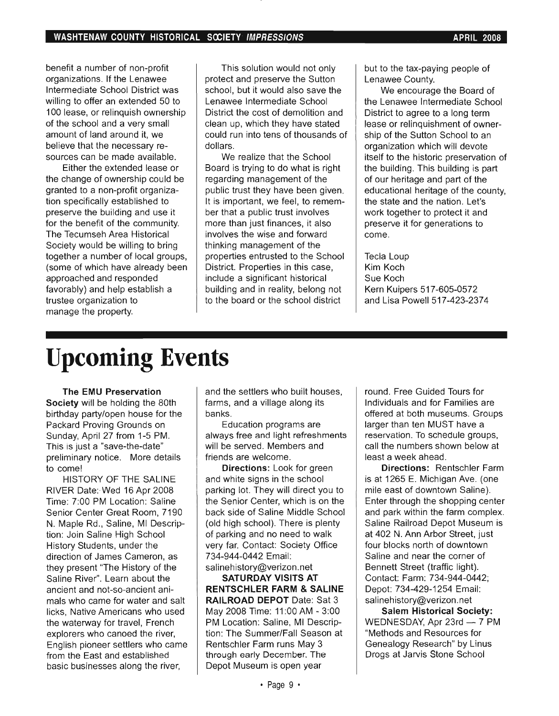benefit a number of non-profit nefit a number of non-profit organizations. If the Lenawee Intermediate School District was willing to offer an extended 50 to 100 lease, or relinguish ownership of the school and a very small amount of land around it, we believe that the necessary resources can be made available.

Either the extended lease or the change of ownership could be granted to a non-profit organization specifically established to preserve the building and use it for the benefit of the community. The Tecumseh Area Historical Society would be willing to bring together a number of local groups, (some of which have already been approached and responded favorably) and help establish a trustee organization to<br>manage the property.

I his solution would not only protect and preserve the Sutton school, but it would also save the Lenawee Intermediate School District the cost of demolition and clean up, which they have stated could run into tens of thousands of dollars. We realize that the School

We realize that the School Board is trying to do what is right regarding management of the public trust they have been given. It is important, we feel, to remember that a public trust involves more than just finances, it also involves the wise and forward thinking management of the properties entrusted to the School District. Properties in this case. include a significant historical building and in reality, belong not<br>to the board or the school district

but to the tax-paying people of Lenawee County.

We encourage the Board of the Lenawee Intermediate School District to agree to a long term lease or relinguishment of ownership of the Sutton School to an organization which will devote itself to the historic preservation of the building. This building is part of our heritage and part of the educational heritage of the county, the state and the nation. Let's work together to protect it and preserve it for generations to<br>come.

cia Loup Kim Koch Sue Koch Kern Kuipers 517-605-0572<br>and Lisa Powell 517-423-2374

# **Upcoming Events**

The EMU Preservation Society will be holding the 80th birthday party/open house for the Packard Proving Grounds on Sunday, April 27 from 1-5 PM.

This is just a "save-the-date" preliminary notice. More details<br>to come! He!

HISTORY OF THE SALINE RIVER Date: Wed 16 Apr 2008 Time: 7:00 PM Location: Saline Senior Center Great Room, 7190 N. Maple Rd., Saline, MI Description: Join Saline High School History Students, under the direction of James Cameron, as they present "The History of the Saline River". Learn about the ancient and not-so-ancient animals who came for water and salt licks, Native Americans who used the waterway for travel, French explorers who canoed the river, English pioneer settlers who came from the East and established<br>basic businesses along the river,

and the settlers who built houses. farms, and a village along its<br>banks.

Education programs are always free and light refreshments will be served. Members and friends are welcome.

**Directions:** Look for green and white signs in the school parking lot. They will direct you to the Senior Center, which is on the back side of Saline Middle School (old high school). There is plenty of parking and no need to walk very far. Contact: Society Office 734-944-0442 Email: salinehistory@verizon.net

SATURDAY VISITS AT **RENTSCHLER FARM & SALINE** RAILROAD DEPOT Date: Sat 3 May 2008 Time: 11:00 AM - 3:00 PM Location: Saline, MI Description: The Summer/Fall Season at Rentschler Farm runs May 3 through early December. The<br>Depot Museum is open year

ind. Free Guided Tours for Individuals and for Families are offered at both museums. Groups larger than ten MUST have a reservation. To schedule groups, call the numbers shown below at least a week ahead.

Directions: Rentschler Farm. is at 1265 E. Michigan Ave. (one mile east of downtown Saline). Enter through the shopping center. and park within the farm complex. Saline Railroad Depot Museum is at 402 N. Ann Arbor Street, just four blocks north of downtown Saline and near the corner of Bennett Street (traffic light). Contact: Farm: 734-944-0442; Depot: 734-429-1254 Email: salinehistory@verizon.net

Salem Historical Society: WEDNESDAY, Apr  $23rd - 7$  PM "Methods and Resources for Genealogy Research" by Linus<br>Drogs at Jarvis Stone School